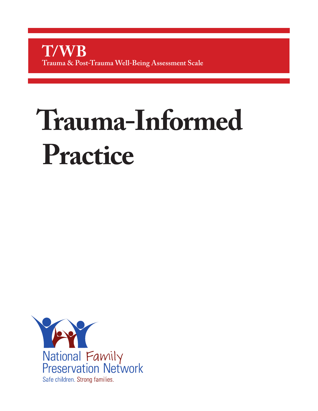# **Trauma-Informed Practice**

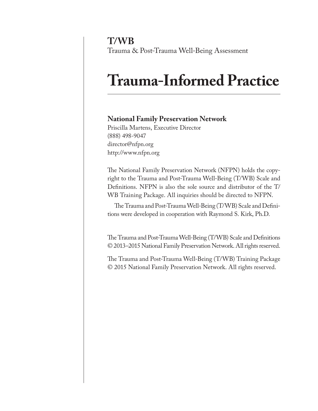**T/WB** Trauma & Post-Trauma Well-Being Assessment

# **Trauma-Informed Practice**

#### **National Family Preservation Network**

Priscilla Martens, Executive Director (888) 498-9047 director@nfpn.org http://www.nfpn.org

The National Family Preservation Network (NFPN) holds the copyright to the Trauma and Post-Trauma Well-Being (T/WB) Scale and Definitions. NFPN is also the sole source and distributor of the T/ WB Training Package. All inquiries should be directed to NFPN.

The Trauma and Post-Trauma Well-Being (T/WB) Scale and Definitions were developed in cooperation with Raymond S. Kirk, Ph.D.

The Trauma and Post-Trauma Well-Being (T/WB) Scale and Definitions © 2013–2015 National Family Preservation Network. All rights reserved.

The Trauma and Post-Trauma Well-Being (T/WB) Training Package © 2015 National Family Preservation Network. All rights reserved.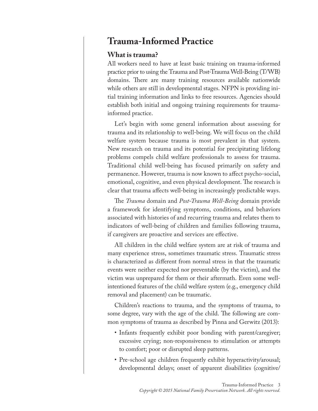# **Trauma-Informed Practice**

#### **What is trauma?**

All workers need to have at least basic training on trauma-informed practice prior to using the Trauma and Post-Trauma Well-Being (T/WB) domains. There are many training resources available nationwide while others are still in developmental stages. NFPN is providing initial training information and links to free resources. Agencies should establish both initial and ongoing training requirements for traumainformed practice.

Let's begin with some general information about assessing for trauma and its relationship to well-being. We will focus on the child welfare system because trauma is most prevalent in that system. New research on trauma and its potential for precipitating lifelong problems compels child welfare professionals to assess for trauma. Traditional child well-being has focused primarily on safety and permanence. However, trauma is now known to affect psycho-social, emotional, cognitive, and even physical development. The research is clear that trauma affects well-being in increasingly predictable ways.

The *Trauma* domain and *Post-Trauma Well-Being* domain provide a framework for identifying symptoms, conditions, and behaviors associated with histories of and recurring trauma and relates them to indicators of well-being of children and families following trauma, if caregivers are proactive and services are effective.

All children in the child welfare system are at risk of trauma and many experience stress, sometimes traumatic stress. Traumatic stress is characterized as different from normal stress in that the traumatic events were neither expected nor preventable (by the victim), and the victim was unprepared for them or their aftermath. Even some wellintentioned features of the child welfare system (e.g., emergency child removal and placement) can be traumatic.

Children's reactions to trauma, and the symptoms of trauma, to some degree, vary with the age of the child. The following are common symptoms of trauma as described by Pinna and Gerwitz (2013):

- Infants frequently exhibit poor bonding with parent/caregiver; excessive crying; non-responsiveness to stimulation or attempts to comfort; poor or disrupted sleep patterns.
- Pre-school age children frequently exhibit hyperactivity/arousal; developmental delays; onset of apparent disabilities (cognitive/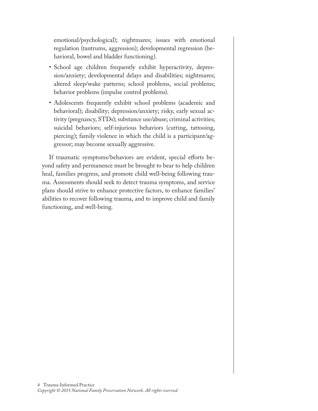emotional/psychological); nightmares; issues with emotional regulation (tantrums, aggression); developmental regression (behavioral, bowel and bladder functioning).

- School age children frequently exhibit hyperactivity, depression/anxiety; developmental delays and disabilities; nightmares; altered sleep/wake patterns; school problems, social problems; behavior problems (impulse control problems).
- Adolescents frequently exhibit school problems (academic and behavioral); disability; depression/anxiety; risky, early sexual activity (pregnancy, STDs); substance use/abuse; criminal activities; suicidal behaviors; self-injurious behaviors (cutting, tattooing, piercing); family violence in which the child is a participant/aggressor; may become sexually aggressive.

If traumatic symptoms/behaviors are evident, special efforts beyond safety and permanence must be brought to bear to help children heal, families progress, and promote child well-being following trauma. Assessments should seek to detect trauma symptoms, and service plans should strive to enhance protective factors, to enhance families' abilities to recover following trauma, and to improve child and family functioning, and well-being.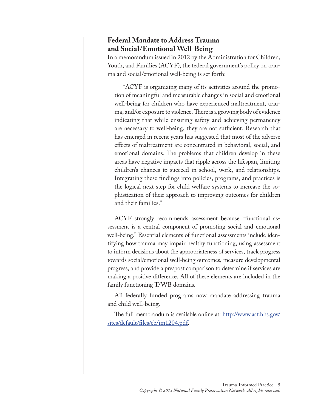#### **Federal Mandate to Address Trauma and Social/Emotional Well-Being**

In a memorandum issued in 2012 by the Administration for Children, Youth, and Families (ACYF), the federal government's policy on trauma and social/emotional well-being is set forth:

 "ACYF is organizing many of its activities around the promotion of meaningful and measurable changes in social and emotional well-being for children who have experienced maltreatment, trauma, and/or exposure to violence. There is a growing body of evidence indicating that while ensuring safety and achieving permanency are necessary to well-being, they are not sufficient. Research that has emerged in recent years has suggested that most of the adverse effects of maltreatment are concentrated in behavioral, social, and emotional domains. The problems that children develop in these areas have negative impacts that ripple across the lifespan, limiting children's chances to succeed in school, work, and relationships. Integrating these findings into policies, programs, and practices is the logical next step for child welfare systems to increase the sophistication of their approach to improving outcomes for children and their families."

ACYF strongly recommends assessment because "functional assessment is a central component of promoting social and emotional well-being." Essential elements of functional assessments include identifying how trauma may impair healthy functioning, using assessment to inform decisions about the appropriateness of services, track progress towards social/emotional well-being outcomes, measure developmental progress, and provide a pre/post comparison to determine if services are making a positive difference. All of these elements are included in the family functioning T/WB domains.

All federally funded programs now mandate addressing trauma and child well-being.

The full memorandum is available online at: [http://www.acf.hhs.gov/](http://www.acf.hhs.gov/sites/default/files/cb/im1204.pdf) [sites/default/files/cb/im1204.pdf.](http://www.acf.hhs.gov/sites/default/files/cb/im1204.pdf)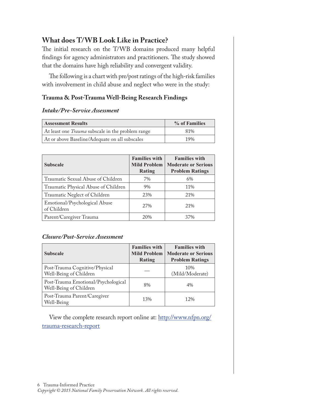# **What does T/WB Look Like in Practice?**

The initial research on the T/WB domains produced many helpful findings for agency administrators and practitioners. The study showed that the domains have high reliability and convergent validity.

The following is a chart with pre/post ratings of the high-risk families with involvement in child abuse and neglect who were in the study:

#### **Trauma & Post-Trauma Well-Being Research Findings**

#### *Intake/Pre-Service Assessment*

| <b>Assessment Results</b>                                | % of Families |
|----------------------------------------------------------|---------------|
| At least one <i>Trauma</i> subscale in the problem range | 81%           |
| At or above Baseline/Adequate on all subscales           | 19%           |

| <b>Subscale</b>                              | <b>Families with</b><br><b>Mild Problem</b><br>Rating | <b>Families with</b><br><b>Moderate or Serious</b><br><b>Problem Ratings</b> |
|----------------------------------------------|-------------------------------------------------------|------------------------------------------------------------------------------|
| Traumatic Sexual Abuse of Children           | 7%                                                    | 6%                                                                           |
| Traumatic Physical Abuse of Children         | 9%                                                    | 11%                                                                          |
| Traumatic Neglect of Children                | 23%                                                   | 21\%                                                                         |
| Emotional/Psychological Abuse<br>of Children | 2.7%                                                  | 21%                                                                          |
| Parent/Caregiver Trauma                      | 20%                                                   | 37%                                                                          |

#### *Closure/Post-Service Assessment*

| <b>Subscale</b>                                               | <b>Families with</b><br><b>Mild Problem</b><br><b>Rating</b> | <b>Families with</b><br><b>Moderate or Serious</b><br><b>Problem Ratings</b> |
|---------------------------------------------------------------|--------------------------------------------------------------|------------------------------------------------------------------------------|
| Post-Trauma Cognitive/Physical<br>Well-Being of Children      |                                                              | 10%<br>(Mild/Moderate)                                                       |
| Post-Trauma Emotional/Psychological<br>Well-Being of Children | 8%                                                           | $4\%$                                                                        |
| Post-Trauma Parent/Caregiver<br>Well-Being                    | 13%                                                          | 12%                                                                          |

View the complete research report online at: [http://www.nfpn.org/](http://www.nfpn.org/trauma-research-report) [trauma-research-report](http://www.nfpn.org/trauma-research-report)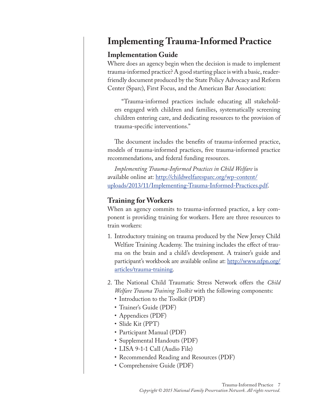# **Implementing Trauma-Informed Practice**

## **Implementation Guide**

Where does an agency begin when the decision is made to implement trauma-informed practice? A good starting place is with a basic, readerfriendly document produced by the State Policy Advocacy and Reform Center (Sparc), First Focus, and the American Bar Association:

"Trauma-informed practices include educating all stakeholders engaged with children and families, systematically screening children entering care, and dedicating resources to the provision of trauma-specific interventions."

The document includes the benefits of trauma-informed practice, models of trauma-informed practices, five trauma-informed practice recommendations, and federal funding resources.

*Implementing Trauma-Informed Practices in Child Welfare* is available online at: [http://childwelfaresparc.org/wp-content/](http://childwelfaresparc.org/wp-content/uploads/2013/11/Implementing-Trauma-Informed-Practices.pdf) [uploads/2013/11/Implementing-Trauma-Informed-Practices.pdf.](http://childwelfaresparc.org/wp-content/uploads/2013/11/Implementing-Trauma-Informed-Practices.pdf)

# **Training for Workers**

When an agency commits to trauma-informed practice, a key component is providing training for workers. Here are three resources to train workers:

- 1. Introductory training on trauma produced by the New Jersey Child Welfare Training Academy. The training includes the effect of trauma on the brain and a child's development. A trainer's guide and participant's workbook are available online at: [http://www.nfpn.org/](http://www.nfpn.org/articles/trauma-training) [articles/trauma-training](http://www.nfpn.org/articles/trauma-training).
- 2. The National Child Traumatic Stress Network offers the *Child Welfare Trauma Training Toolkit* with the following components:
	- Introduction to the Toolkit (PDF)
	- Trainer's Guide (PDF)
	- Appendices (PDF)
	- Slide Kit (PPT)
	- Participant Manual (PDF)
	- Supplemental Handouts (PDF)
	- LISA 9-1-1 Call (Audio File)
	- Recommended Reading and Resources (PDF)
	- Comprehensive Guide (PDF)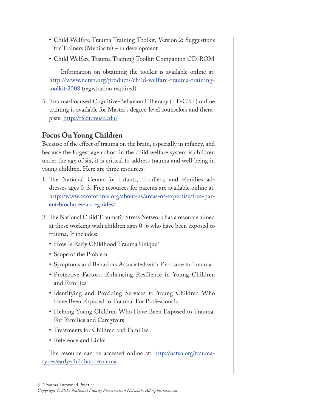- Child Welfare Trauma Training Toolkit, Version 2: Suggestions for Trainers (Mediasite) – in development
- Child Welfare Trauma Training Toolkit Companion CD-ROM

 Information on obtaining the toolkit is available online at: [http://www.nctsn.org/products/child-welfare-trauma-training](http://www.nctsn.org/products/child-welfare-trauma-training-toolkit-2008)[toolkit-2008](http://www.nctsn.org/products/child-welfare-trauma-training-toolkit-2008) (registration required).

3. Trauma-Focused Cognitive-Behavioral Therapy (TF-CBT) online training is available for Master's degree-level counselors and therapists: <http://tfcbt.musc.edu/>

## **Focus On Young Children**

Because of the effect of trauma on the brain, especially in infancy, and because the largest age cohort in the child welfare system is children under the age of six, it is critical to address trauma and well-being in young children. Here are three resources:

- 1. The National Center for Infants, Toddlers, and Families addresses ages 0–3. Free resources for parents are available online at: [http://www.zerotothree.org/about-us/areas-of-expertise/free-par](http://www.zerotothree.org/about-us/areas-of-expertise/free-parent-brochures-and-guides/)[ent-brochures-and-guides/.](http://www.zerotothree.org/about-us/areas-of-expertise/free-parent-brochures-and-guides/)
- 2. The National Child Traumatic Stress Network has a resource aimed at those working with children ages 0–6 who have been exposed to trauma. It includes:
	- How Is Early Childhood Trauma Unique?
	- Scope of the Problem
	- Symptoms and Behaviors Associated with Exposure to Trauma
	- Protective Factors: Enhancing Resilience in Young Children and Families
	- Identifying and Providing Services to Young Children Who Have Been Exposed to Trauma: For Professionals
	- Helping Young Children Who Have Been Exposed to Trauma: For Families and Caregivers
	- Treatments for Children and Families
	- Reference and Links

The resource can be accessed online at: [http://nctsn.org/trauma](http://nctsn.org/trauma-types/early-childhood-trauma)[types/early-childhood-trauma.](http://nctsn.org/trauma-types/early-childhood-trauma)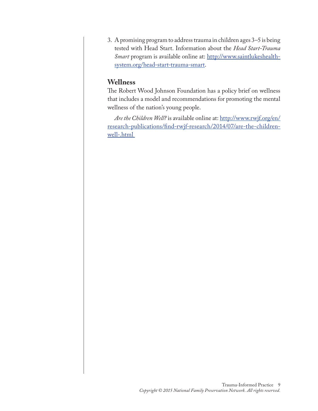3. A promising program to address trauma in children ages 3–5 is being tested with Head Start. Information about the *Head Start-Trauma Smart* program is available online at: [http://www.saintlukeshealth](http://www.saintlukeshealthsystem.org/head-start-trauma-smart)[system.org/head-start-trauma-smart](http://www.saintlukeshealthsystem.org/head-start-trauma-smart).

#### **Wellness**

The Robert Wood Johnson Foundation has a policy brief on wellness that includes a model and recommendations for promoting the mental wellness of the nation's young people.

*Are the Children Well?* is available online at: [http://www.rwjf.org/en/](http://www.rwjf.org/en/research-publications/find-rwjf-research/2014/07/are-the-children-well-.html) [research-publications/find-rwjf-research/2014/07/are-the-children](http://www.rwjf.org/en/research-publications/find-rwjf-research/2014/07/are-the-children-well-.html)[well-.html](http://www.rwjf.org/en/research-publications/find-rwjf-research/2014/07/are-the-children-well-.html)